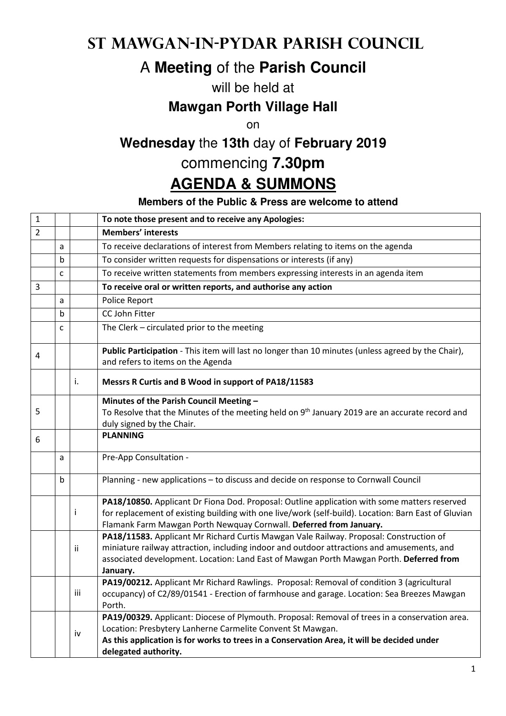## **St Mawgan-in-Pydar Parish Council**

# A **Meeting** of the **Parish Council**

#### will be held at

#### **Mawgan Porth Village Hall**

on

## **Wednesday** the **13th** day of **February 2019**

### commencing **7.30pm**

# **AGENDA & SUMMONS**

#### **Members of the Public & Press are welcome to attend**

| $\mathbf{1}$   |   |     | To note those present and to receive any Apologies:                                                                                                                                                                                                                                         |
|----------------|---|-----|---------------------------------------------------------------------------------------------------------------------------------------------------------------------------------------------------------------------------------------------------------------------------------------------|
| $\overline{2}$ |   |     | <b>Members' interests</b>                                                                                                                                                                                                                                                                   |
|                | a |     | To receive declarations of interest from Members relating to items on the agenda                                                                                                                                                                                                            |
|                | b |     | To consider written requests for dispensations or interests (if any)                                                                                                                                                                                                                        |
|                | C |     | To receive written statements from members expressing interests in an agenda item                                                                                                                                                                                                           |
| 3              |   |     | To receive oral or written reports, and authorise any action                                                                                                                                                                                                                                |
|                | a |     | Police Report                                                                                                                                                                                                                                                                               |
|                | b |     | CC John Fitter                                                                                                                                                                                                                                                                              |
|                | C |     | The Clerk - circulated prior to the meeting                                                                                                                                                                                                                                                 |
| 4              |   |     | Public Participation - This item will last no longer than 10 minutes (unless agreed by the Chair),<br>and refers to items on the Agenda                                                                                                                                                     |
|                |   | i.  | Messrs R Curtis and B Wood in support of PA18/11583                                                                                                                                                                                                                                         |
|                |   |     | Minutes of the Parish Council Meeting -                                                                                                                                                                                                                                                     |
| 5              |   |     | To Resolve that the Minutes of the meeting held on 9 <sup>th</sup> January 2019 are an accurate record and                                                                                                                                                                                  |
|                |   |     | duly signed by the Chair.                                                                                                                                                                                                                                                                   |
| 6              |   |     | <b>PLANNING</b>                                                                                                                                                                                                                                                                             |
|                | а |     | Pre-App Consultation -                                                                                                                                                                                                                                                                      |
|                | b |     | Planning - new applications - to discuss and decide on response to Cornwall Council                                                                                                                                                                                                         |
|                |   | Ť   | PA18/10850. Applicant Dr Fiona Dod. Proposal: Outline application with some matters reserved<br>for replacement of existing building with one live/work (self-build). Location: Barn East of Gluvian<br>Flamank Farm Mawgan Porth Newquay Cornwall. Deferred from January.                  |
|                |   | ii  | PA18/11583. Applicant Mr Richard Curtis Mawgan Vale Railway. Proposal: Construction of<br>miniature railway attraction, including indoor and outdoor attractions and amusements, and<br>associated development. Location: Land East of Mawgan Porth Mawgan Porth. Deferred from<br>January. |
|                |   | iii | PA19/00212. Applicant Mr Richard Rawlings. Proposal: Removal of condition 3 (agricultural<br>occupancy) of C2/89/01541 - Erection of farmhouse and garage. Location: Sea Breezes Mawgan<br>Porth.                                                                                           |
|                |   | iv  | PA19/00329. Applicant: Diocese of Plymouth. Proposal: Removal of trees in a conservation area.<br>Location: Presbytery Lanherne Carmelite Convent St Mawgan.<br>As this application is for works to trees in a Conservation Area, it will be decided under<br>delegated authority.          |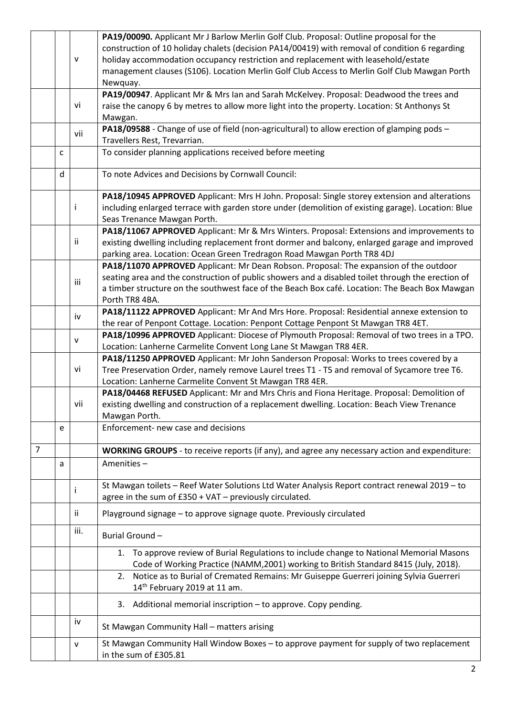|                |   |              | PA19/00090. Applicant Mr J Barlow Merlin Golf Club. Proposal: Outline proposal for the               |
|----------------|---|--------------|------------------------------------------------------------------------------------------------------|
|                |   |              | construction of 10 holiday chalets (decision PA14/00419) with removal of condition 6 regarding       |
|                |   | $\mathsf{V}$ | holiday accommodation occupancy restriction and replacement with leasehold/estate                    |
|                |   |              | management clauses (S106). Location Merlin Golf Club Access to Merlin Golf Club Mawgan Porth         |
|                |   |              | Newquay.                                                                                             |
|                |   |              | PA19/00947. Applicant Mr & Mrs Ian and Sarah McKelvey. Proposal: Deadwood the trees and              |
|                |   | vi           | raise the canopy 6 by metres to allow more light into the property. Location: St Anthonys St         |
|                |   |              | Mawgan.                                                                                              |
|                |   |              | PA18/09588 - Change of use of field (non-agricultural) to allow erection of glamping pods -          |
|                |   | vii          | Travellers Rest, Trevarrian.                                                                         |
|                | C |              | To consider planning applications received before meeting                                            |
|                |   |              |                                                                                                      |
|                | d |              | To note Advices and Decisions by Cornwall Council:                                                   |
|                |   |              | PA18/10945 APPROVED Applicant: Mrs H John. Proposal: Single storey extension and alterations         |
|                |   |              | including enlarged terrace with garden store under (demolition of existing garage). Location: Blue   |
|                |   |              | Seas Trenance Mawgan Porth.                                                                          |
|                |   |              | PA18/11067 APPROVED Applicant: Mr & Mrs Winters. Proposal: Extensions and improvements to            |
|                |   | jj.          | existing dwelling including replacement front dormer and balcony, enlarged garage and improved       |
|                |   |              | parking area. Location: Ocean Green Tredragon Road Mawgan Porth TR8 4DJ                              |
|                |   |              | PA18/11070 APPROVED Applicant: Mr Dean Robson. Proposal: The expansion of the outdoor                |
|                |   |              | seating area and the construction of public showers and a disabled toilet through the erection of    |
|                |   | iii          |                                                                                                      |
|                |   |              | a timber structure on the southwest face of the Beach Box café. Location: The Beach Box Mawgan       |
|                |   |              | Porth TR8 4BA.                                                                                       |
|                |   | iv           | PA18/11122 APPROVED Applicant: Mr And Mrs Hore. Proposal: Residential annexe extension to            |
|                |   |              | the rear of Penpont Cottage. Location: Penpont Cottage Penpont St Mawgan TR8 4ET.                    |
|                |   | v            | PA18/10996 APPROVED Applicant: Diocese of Plymouth Proposal: Removal of two trees in a TPO.          |
|                |   |              | Location: Lanherne Carmelite Convent Long Lane St Mawgan TR8 4ER.                                    |
|                |   |              | PA18/11250 APPROVED Applicant: Mr John Sanderson Proposal: Works to trees covered by a               |
|                |   | vi           | Tree Preservation Order, namely remove Laurel trees T1 - T5 and removal of Sycamore tree T6.         |
|                |   |              | Location: Lanherne Carmelite Convent St Mawgan TR8 4ER.                                              |
|                |   |              | PA18/04468 REFUSED Applicant: Mr and Mrs Chris and Fiona Heritage. Proposal: Demolition of           |
|                |   | vii          | existing dwelling and construction of a replacement dwelling. Location: Beach View Trenance          |
|                |   |              | Mawgan Porth.                                                                                        |
|                | e |              | Enforcement- new case and decisions                                                                  |
|                |   |              |                                                                                                      |
| $\overline{7}$ |   |              | <b>WORKING GROUPS</b> - to receive reports (if any), and agree any necessary action and expenditure: |
|                | a |              | Amenities-                                                                                           |
|                |   |              |                                                                                                      |
|                |   |              | St Mawgan toilets - Reef Water Solutions Ltd Water Analysis Report contract renewal 2019 - to        |
|                |   |              | agree in the sum of £350 + VAT - previously circulated.                                              |
|                |   |              |                                                                                                      |
|                |   | ii.          | Playground signage - to approve signage quote. Previously circulated                                 |
|                |   | iii.         | Burial Ground-                                                                                       |
|                |   |              | To approve review of Burial Regulations to include change to National Memorial Masons<br>1.          |
|                |   |              | Code of Working Practice (NAMM,2001) working to British Standard 8415 (July, 2018).                  |
|                |   |              | 2. Notice as to Burial of Cremated Remains: Mr Guiseppe Guerreri joining Sylvia Guerreri             |
|                |   |              | 14 <sup>th</sup> February 2019 at 11 am.                                                             |
|                |   |              |                                                                                                      |
|                |   |              | 3. Additional memorial inscription - to approve. Copy pending.                                       |
|                |   | iv           | St Mawgan Community Hall - matters arising                                                           |
|                |   | v            | St Mawgan Community Hall Window Boxes - to approve payment for supply of two replacement             |
|                |   |              | in the sum of £305.81                                                                                |